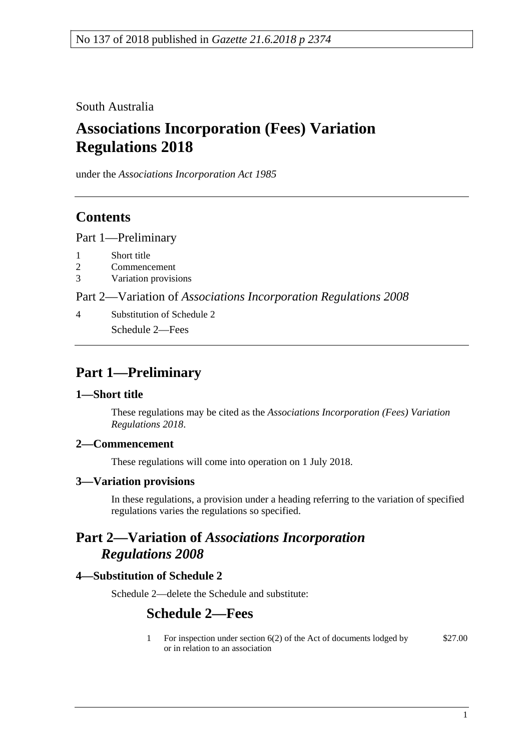South Australia

# **Associations Incorporation (Fees) Variation Regulations 2018**

under the *Associations Incorporation Act 1985*

### **Contents**

Part [1—Preliminary](#page-0-0)

- 1 [Short title](#page-0-1)
- 2 [Commencement](#page-0-2)
- 3 [Variation provisions](#page-0-3)

Part 2—Variation of *[Associations Incorporation Regulations](#page-0-4) 2008*

4 [Substitution of Schedule 2](#page-0-5) Schedule 2—Fees

## <span id="page-0-0"></span>**Part 1—Preliminary**

#### <span id="page-0-1"></span>**1—Short title**

These regulations may be cited as the *Associations Incorporation (Fees) Variation Regulations 2018*.

#### <span id="page-0-2"></span>**2—Commencement**

These regulations will come into operation on 1 July 2018.

#### <span id="page-0-3"></span>**3—Variation provisions**

In these regulations, a provision under a heading referring to the variation of specified regulations varies the regulations so specified.

### <span id="page-0-4"></span>**Part 2—Variation of** *Associations Incorporation Regulations 2008*

#### <span id="page-0-5"></span>**4—Substitution of Schedule 2**

Schedule 2—delete the Schedule and substitute:

### **Schedule 2—Fees**

1 For inspection under section 6(2) of the Act of documents lodged by or in relation to an association \$27.00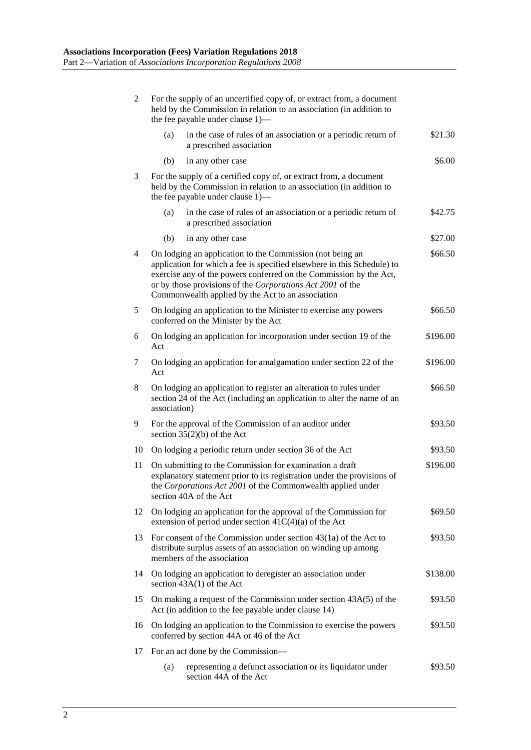| $\overline{2}$ | For the supply of an uncertified copy of, or extract from, a document<br>held by the Commission in relation to an association (in addition to<br>the fee payable under clause 1)—                                                                                                                                             |          |
|----------------|-------------------------------------------------------------------------------------------------------------------------------------------------------------------------------------------------------------------------------------------------------------------------------------------------------------------------------|----------|
|                | in the case of rules of an association or a periodic return of<br>(a)<br>a prescribed association                                                                                                                                                                                                                             | \$21.30  |
|                | (b)<br>in any other case                                                                                                                                                                                                                                                                                                      | \$6.00   |
| 3              | For the supply of a certified copy of, or extract from, a document<br>held by the Commission in relation to an association (in addition to<br>the fee payable under clause 1)—                                                                                                                                                |          |
|                | in the case of rules of an association or a periodic return of<br>(a)<br>a prescribed association                                                                                                                                                                                                                             | \$42.75  |
|                | (b)<br>in any other case                                                                                                                                                                                                                                                                                                      | \$27.00  |
| 4              | On lodging an application to the Commission (not being an<br>application for which a fee is specified elsewhere in this Schedule) to<br>exercise any of the powers conferred on the Commission by the Act,<br>or by those provisions of the Corporations Act 2001 of the<br>Commonwealth applied by the Act to an association | \$66.50  |
| 5              | On lodging an application to the Minister to exercise any powers<br>conferred on the Minister by the Act                                                                                                                                                                                                                      | \$66.50  |
| 6              | On lodging an application for incorporation under section 19 of the<br>Act                                                                                                                                                                                                                                                    | \$196.00 |
| 7              | On lodging an application for amalgamation under section 22 of the<br>Act                                                                                                                                                                                                                                                     | \$196.00 |
| 8              | On lodging an application to register an alteration to rules under<br>section 24 of the Act (including an application to alter the name of an<br>association)                                                                                                                                                                 | \$66.50  |
| 9              | For the approval of the Commission of an auditor under<br>section $35(2)(b)$ of the Act                                                                                                                                                                                                                                       | \$93.50  |
| 10             | On lodging a periodic return under section 36 of the Act                                                                                                                                                                                                                                                                      | \$93.50  |
| 11             | On submitting to the Commission for examination a draft<br>explanatory statement prior to its registration under the provisions of<br>the Corporations Act 2001 of the Commonwealth applied under<br>section 40A of the Act                                                                                                   | \$196.00 |
| 12             | On lodging an application for the approval of the Commission for<br>extension of period under section $41C(4)(a)$ of the Act                                                                                                                                                                                                  | \$69.50  |
| 13             | For consent of the Commission under section $43(1a)$ of the Act to<br>distribute surplus assets of an association on winding up among<br>members of the association                                                                                                                                                           | \$93.50  |
| 14             | On lodging an application to deregister an association under<br>section $43A(1)$ of the Act                                                                                                                                                                                                                                   | \$138.00 |
| 15             | On making a request of the Commission under section 43A(5) of the<br>Act (in addition to the fee payable under clause 14)                                                                                                                                                                                                     | \$93.50  |
| 16             | On lodging an application to the Commission to exercise the powers<br>conferred by section 44A or 46 of the Act                                                                                                                                                                                                               | \$93.50  |
| 17             | For an act done by the Commission—                                                                                                                                                                                                                                                                                            |          |
|                | representing a defunct association or its liquidator under<br>(a)<br>section 44A of the Act                                                                                                                                                                                                                                   | \$93.50  |